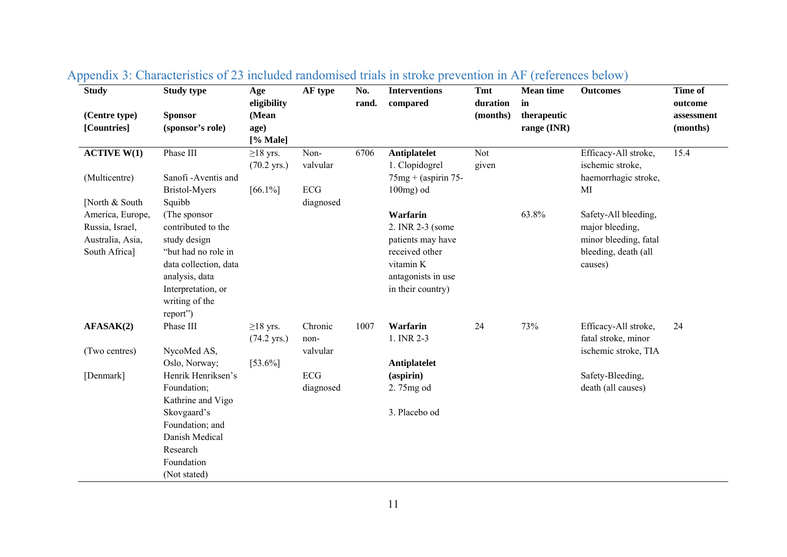| <b>Study</b>     | <b>Study type</b>     | Age                   | AF type   | No.   | <b>Interventions</b>   | <b>Tmt</b> | <b>Mean time</b> | <b>Outcomes</b>       | Time of    |
|------------------|-----------------------|-----------------------|-----------|-------|------------------------|------------|------------------|-----------------------|------------|
|                  |                       | eligibility           |           | rand. | compared               | duration   | in               |                       | outcome    |
| (Centre type)    | <b>Sponsor</b>        | (Mean                 |           |       |                        | (months)   | therapeutic      |                       | assessment |
| [Countries]      | (sponsor's role)      | age)<br>[% Male]      |           |       |                        |            | range (INR)      |                       | (months)   |
| ACTIVE W(1)      | Phase III             | $\geq$ 18 yrs.        | Non-      | 6706  | Antiplatelet           | Not        |                  | Efficacy-All stroke,  | 15.4       |
|                  |                       | $(70.2 \text{ yrs.})$ | valvular  |       | 1. Clopidogrel         | given      |                  | ischemic stroke,      |            |
| (Multicentre)    | Sanofi-Aventis and    |                       |           |       | $75mg + (aspirin 75 -$ |            |                  | haemorrhagic stroke,  |            |
|                  | Bristol-Myers         | $[66.1\%]$            | ECG       |       | $100mg$ ) od           |            |                  | MI                    |            |
| [North & South]  | Squibb                |                       | diagnosed |       |                        |            |                  |                       |            |
| America, Europe, | (The sponsor          |                       |           |       | Warfarin               |            | 63.8%            | Safety-All bleeding,  |            |
| Russia, Israel,  | contributed to the    |                       |           |       | 2. INR 2-3 (some       |            |                  | major bleeding,       |            |
| Australia, Asia, | study design          |                       |           |       | patients may have      |            |                  | minor bleeding, fatal |            |
| South Africa]    | "but had no role in   |                       |           |       | received other         |            |                  | bleeding, death (all  |            |
|                  | data collection, data |                       |           |       | vitamin K              |            |                  | causes)               |            |
|                  | analysis, data        |                       |           |       | antagonists in use     |            |                  |                       |            |
|                  | Interpretation, or    |                       |           |       | in their country)      |            |                  |                       |            |
|                  | writing of the        |                       |           |       |                        |            |                  |                       |            |
| AFASAK(2)        | report")<br>Phase III | $\geq$ 18 yrs.        | Chronic   | 1007  | Warfarin               | 24         | 73%              | Efficacy-All stroke,  | 24         |
|                  |                       | $(74.2 \text{ yrs.})$ | non-      |       | 1. INR 2-3             |            |                  | fatal stroke, minor   |            |
| (Two centres)    | NycoMed AS,           |                       | valvular  |       |                        |            |                  | ischemic stroke, TIA  |            |
|                  | Oslo, Norway;         | $[53.6\%]$            |           |       | Antiplatelet           |            |                  |                       |            |
| [Denmark]        | Henrik Henriksen's    |                       | ECG       |       | (aspirin)              |            |                  | Safety-Bleeding,      |            |
|                  | Foundation;           |                       | diagnosed |       | 2.75mg od              |            |                  | death (all causes)    |            |
|                  | Kathrine and Vigo     |                       |           |       |                        |            |                  |                       |            |
|                  | Skovgaard's           |                       |           |       | 3. Placebo od          |            |                  |                       |            |
|                  | Foundation; and       |                       |           |       |                        |            |                  |                       |            |
|                  | Danish Medical        |                       |           |       |                        |            |                  |                       |            |
|                  | Research              |                       |           |       |                        |            |                  |                       |            |
|                  | Foundation            |                       |           |       |                        |            |                  |                       |            |
|                  | (Not stated)          |                       |           |       |                        |            |                  |                       |            |

## Appendix 3: Characteristics of 23 included randomised trials in stroke prevention in AF (references below)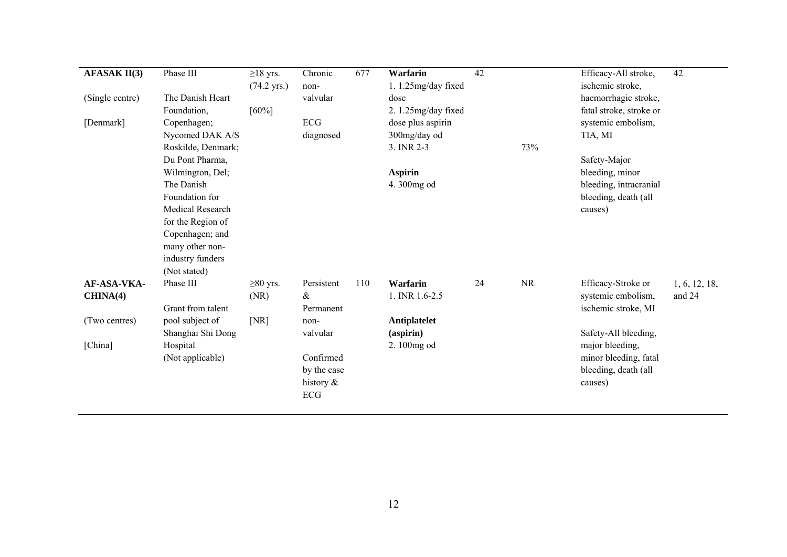| <b>AFASAK II(3)</b> | Phase III               | $\geq$ 18 yrs.<br>$(74.2 \text{ yrs.})$ | Chronic<br>non- | 677 | <b>Warfarin</b><br>1.1.25mg/day fixed | $\overline{42}$ |           | Efficacy-All stroke,<br>ischemic stroke, | 42            |
|---------------------|-------------------------|-----------------------------------------|-----------------|-----|---------------------------------------|-----------------|-----------|------------------------------------------|---------------|
| (Single centre)     | The Danish Heart        |                                         | valvular        |     | dose                                  |                 |           | haemorrhagic stroke,                     |               |
|                     | Foundation,             | [60%]                                   |                 |     | 2. 1.25mg/day fixed                   |                 |           | fatal stroke, stroke or                  |               |
| [Denmark]           | Copenhagen;             |                                         | <b>ECG</b>      |     | dose plus aspirin                     |                 |           | systemic embolism,                       |               |
|                     | Nycomed DAK A/S         |                                         | diagnosed       |     | 300mg/day od                          |                 |           | TIA, MI                                  |               |
|                     | Roskilde, Denmark;      |                                         |                 |     | 3. INR 2-3                            |                 | 73%       |                                          |               |
|                     | Du Pont Pharma,         |                                         |                 |     |                                       |                 |           | Safety-Major                             |               |
|                     | Wilmington, Del;        |                                         |                 |     | <b>Aspirin</b>                        |                 |           | bleeding, minor                          |               |
|                     | The Danish              |                                         |                 |     | 4.300mg od                            |                 |           | bleeding, intracranial                   |               |
|                     | Foundation for          |                                         |                 |     |                                       |                 |           | bleeding, death (all                     |               |
|                     | <b>Medical Research</b> |                                         |                 |     |                                       |                 |           | causes)                                  |               |
|                     | for the Region of       |                                         |                 |     |                                       |                 |           |                                          |               |
|                     | Copenhagen; and         |                                         |                 |     |                                       |                 |           |                                          |               |
|                     | many other non-         |                                         |                 |     |                                       |                 |           |                                          |               |
|                     | industry funders        |                                         |                 |     |                                       |                 |           |                                          |               |
|                     | (Not stated)            |                                         |                 |     |                                       |                 |           |                                          |               |
| AF-ASA-VKA-         | Phase III               | $\geq 80$ yrs.                          | Persistent      | 110 | Warfarin                              | 24              | <b>NR</b> | Efficacy-Stroke or                       | 1, 6, 12, 18, |
| CHINA(4)            |                         | (NR)                                    | $\&$            |     | 1. INR 1.6-2.5                        |                 |           | systemic embolism,                       | and 24        |
|                     | Grant from talent       |                                         | Permanent       |     |                                       |                 |           | ischemic stroke, MI                      |               |
| (Two centres)       | pool subject of         | [NR]                                    | non-            |     | Antiplatelet                          |                 |           |                                          |               |
|                     | Shanghai Shi Dong       |                                         | valvular        |     | $(a$ spirin $)$                       |                 |           | Safety-All bleeding,                     |               |
| [China]             | Hospital                |                                         |                 |     | 2.100mg od                            |                 |           | major bleeding,                          |               |
|                     | (Not applicable)        |                                         | Confirmed       |     |                                       |                 |           | minor bleeding, fatal                    |               |
|                     |                         |                                         | by the case     |     |                                       |                 |           | bleeding, death (all                     |               |
|                     |                         |                                         | history $\&$    |     |                                       |                 |           | causes)                                  |               |
|                     |                         |                                         | ECG             |     |                                       |                 |           |                                          |               |
|                     |                         |                                         |                 |     |                                       |                 |           |                                          |               |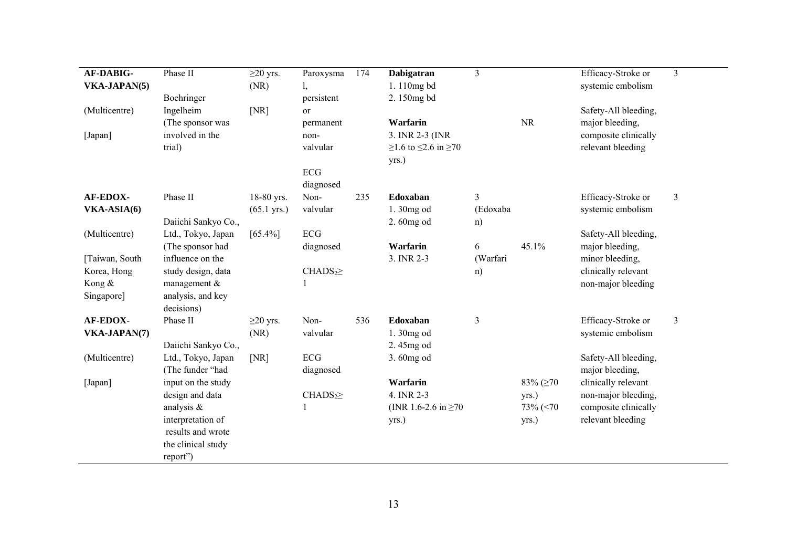| AF-DABIG-       | Phase II                        | $\geq$ 20 yrs.        | Paroxysma          | 174 | Dabigatran                         | $\overline{3}$ |           | Efficacy-Stroke or   | $\overline{3}$ |
|-----------------|---------------------------------|-----------------------|--------------------|-----|------------------------------------|----------------|-----------|----------------------|----------------|
| VKA-JAPAN(5)    |                                 | (NR)                  | I,                 |     | 1.110mg bd                         |                |           | systemic embolism    |                |
|                 | Boehringer                      |                       | persistent         |     | 2.150mg bd                         |                |           |                      |                |
| (Multicentre)   | Ingelheim                       | [NR]                  | <sub>or</sub>      |     |                                    |                |           | Safety-All bleeding, |                |
|                 | (The sponsor was                |                       | permanent          |     | Warfarin                           |                | <b>NR</b> | major bleeding,      |                |
| [Japan]         | involved in the                 |                       | non-               |     | 3. INR 2-3 (INR                    |                |           | composite clinically |                |
|                 | trial)                          |                       | valvular           |     | $≥1.6$ to $≤2.6$ in $≥70$<br>yrs.) |                |           | relevant bleeding    |                |
|                 |                                 |                       | ECG<br>diagnosed   |     |                                    |                |           |                      |                |
| AF-EDOX-        | Phase II                        | 18-80 yrs.            | Non-               | 235 | Edoxaban                           | 3              |           | Efficacy-Stroke or   | $\mathfrak{Z}$ |
| VKA-ASIA(6)     |                                 | $(65.1 \text{ yrs.})$ | valvular           |     | 1.30mg od                          | (Edoxaba       |           | systemic embolism    |                |
|                 | Daiichi Sankyo Co.,             |                       |                    |     | 2.60mg od                          | n)             |           |                      |                |
| (Multicentre)   | Ltd., Tokyo, Japan              | $[65.4\%]$            | ECG                |     |                                    |                |           | Safety-All bleeding, |                |
|                 | (The sponsor had                |                       | diagnosed          |     | Warfarin                           | 6              | 45.1%     | major bleeding,      |                |
| [Taiwan, South] | influence on the                |                       |                    |     | 3. INR 2-3                         | (Warfari       |           | minor bleeding,      |                |
| Korea, Hong     | study design, data              |                       | CHADS <sub>2</sub> |     |                                    | n)             |           | clinically relevant  |                |
| Kong &          | management &                    |                       |                    |     |                                    |                |           | non-major bleeding   |                |
| Singapore]      | analysis, and key<br>decisions) |                       |                    |     |                                    |                |           |                      |                |
| AF-EDOX-        | Phase II                        | $\geq$ 20 yrs.        | Non-               | 536 | Edoxaban                           | 3              |           | Efficacy-Stroke or   | $\mathfrak{Z}$ |
| VKA-JAPAN(7)    |                                 | (NR)                  | valvular           |     | 1.30mg od                          |                |           | systemic embolism    |                |
|                 | Daiichi Sankyo Co.,             |                       |                    |     | 2.45mg od                          |                |           |                      |                |
| (Multicentre)   | Ltd., Tokyo, Japan              | [NR]                  | ECG                |     | 3.60mg od                          |                |           | Safety-All bleeding, |                |
|                 | (The funder "had                |                       | diagnosed          |     |                                    |                |           | major bleeding,      |                |
| [Japan]         | input on the study              |                       |                    |     | Warfarin                           |                | 83% (≥70  | clinically relevant  |                |
|                 | design and data                 |                       | CHADS <sub>2</sub> |     | 4. INR 2-3                         |                | yrs.)     | non-major bleeding,  |                |
|                 | analysis &                      |                       |                    |     | (INR 1.6-2.6 in $\geq$ 70          |                | 73% (<70  | composite clinically |                |
|                 | interpretation of               |                       |                    |     | yrs.)                              |                | yrs.)     | relevant bleeding    |                |
|                 | results and wrote               |                       |                    |     |                                    |                |           |                      |                |
|                 | the clinical study              |                       |                    |     |                                    |                |           |                      |                |
|                 | report")                        |                       |                    |     |                                    |                |           |                      |                |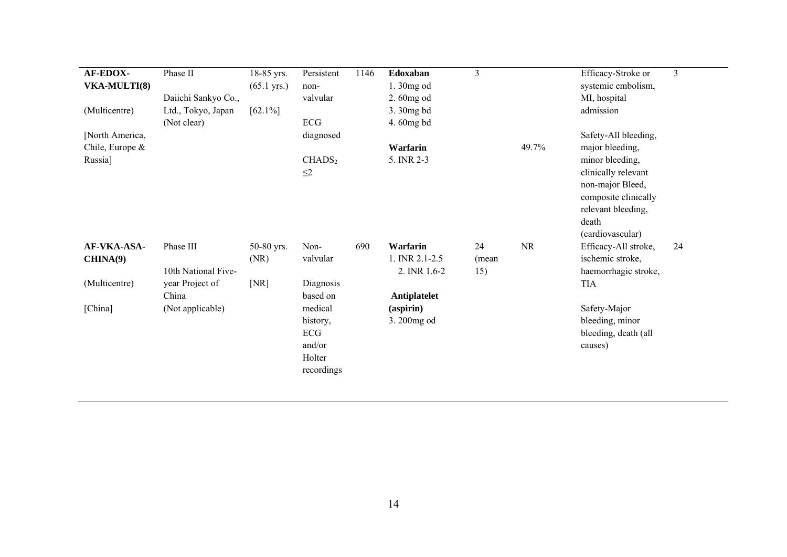| AF-EDOX-<br><b>VKA-MULTI(8)</b><br>(Multicentre)<br>[North America, | Phase II<br>Daiichi Sankyo Co.,<br>Ltd., Tokyo, Japan<br>(Not clear) | 18-85 yrs.<br>$(65.1 \text{ yrs.})$<br>$[62.1\%]$ | Persistent<br>non-<br>valvular<br>ECG<br>diagnosed                      | 1146 | Edoxaban<br>1.30mg od<br>2.60mg od<br>3.30mg bd<br>4.60mg bd | 3                  |           | Efficacy-Stroke or<br>systemic embolism,<br>MI, hospital<br>admission<br>Safety-All bleeding,                                                            | $\overline{3}$ |
|---------------------------------------------------------------------|----------------------------------------------------------------------|---------------------------------------------------|-------------------------------------------------------------------------|------|--------------------------------------------------------------|--------------------|-----------|----------------------------------------------------------------------------------------------------------------------------------------------------------|----------------|
| Chile, Europe $\&$<br>Russia]                                       |                                                                      |                                                   | CHADS <sub>2</sub><br>$\leq$ 2                                          |      | Warfarin<br>5. INR 2-3                                       |                    | 49.7%     | major bleeding,<br>minor bleeding,<br>clinically relevant<br>non-major Bleed,<br>composite clinically<br>relevant bleeding,<br>death<br>(cardiovascular) |                |
| AF-VKA-ASA-<br>CHINA(9)                                             | Phase III<br>10th National Five-                                     | 50-80 yrs.<br>(NR)                                | Non-<br>valvular                                                        | 690  | Warfarin<br>1. INR 2.1-2.5<br>2. INR 1.6-2                   | 24<br>(mean<br>15) | <b>NR</b> | Efficacy-All stroke,<br>ischemic stroke,<br>haemorrhagic stroke,                                                                                         | 24             |
| (Multicentre)<br>[China]                                            | year Project of<br>China<br>(Not applicable)                         | [NR]                                              | Diagnosis<br>based on<br>medical<br>history,<br>ECG<br>and/or<br>Holter |      | Antiplatelet<br>$(a$ spirin $)$<br>3.200mg od                |                    |           | <b>TIA</b><br>Safety-Major<br>bleeding, minor<br>bleeding, death (all<br>causes)                                                                         |                |
|                                                                     |                                                                      |                                                   | recordings                                                              |      |                                                              |                    |           |                                                                                                                                                          |                |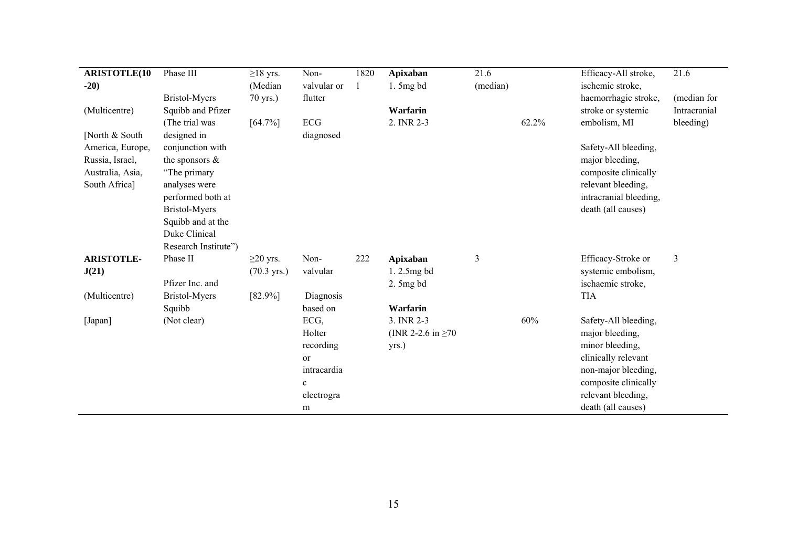| <b>ARISTOTLE(10</b> | Phase III            | $\geq$ 18 yrs.        | Non-        | 1820 | Apixaban                | 21.6     |       | Efficacy-All stroke,   | 21.6           |
|---------------------|----------------------|-----------------------|-------------|------|-------------------------|----------|-------|------------------------|----------------|
| $-20)$              |                      | (Median               | valvular or |      | $1.5mg$ bd              | (median) |       | ischemic stroke,       |                |
|                     | <b>Bristol-Myers</b> | 70 yrs.)              | flutter     |      |                         |          |       | haemorrhagic stroke,   | (median for    |
| (Multicentre)       | Squibb and Pfizer    |                       |             |      | Warfarin                |          |       | stroke or systemic     | Intracranial   |
|                     | (The trial was       | $[64.7\%]$            | ECG         |      | 2. INR 2-3              |          | 62.2% | embolism, MI           | bleeding)      |
| [North & South]     | designed in          |                       | diagnosed   |      |                         |          |       |                        |                |
| America, Europe,    | conjunction with     |                       |             |      |                         |          |       | Safety-All bleeding,   |                |
| Russia, Israel,     | the sponsors $\&$    |                       |             |      |                         |          |       | major bleeding,        |                |
| Australia, Asia,    | "The primary         |                       |             |      |                         |          |       | composite clinically   |                |
| South Africa]       | analyses were        |                       |             |      |                         |          |       | relevant bleeding,     |                |
|                     | performed both at    |                       |             |      |                         |          |       | intracranial bleeding, |                |
|                     | <b>Bristol-Myers</b> |                       |             |      |                         |          |       | death (all causes)     |                |
|                     | Squibb and at the    |                       |             |      |                         |          |       |                        |                |
|                     | Duke Clinical        |                       |             |      |                         |          |       |                        |                |
|                     | Research Institute") |                       |             |      |                         |          |       |                        |                |
| <b>ARISTOTLE-</b>   | Phase II             | $\geq$ 20 yrs.        | Non-        | 222  | Apixaban                | 3        |       | Efficacy-Stroke or     | $\mathfrak{Z}$ |
| J(21)               |                      | $(70.3 \text{ yrs.})$ | valvular    |      | $1.2.5mg$ bd            |          |       | systemic embolism,     |                |
|                     | Pfizer Inc. and      |                       |             |      | $2.5mg$ bd              |          |       | ischaemic stroke,      |                |
| (Multicentre)       | <b>Bristol-Myers</b> | $[82.9\%]$            | Diagnosis   |      |                         |          |       | <b>TIA</b>             |                |
|                     | Squibb               |                       | based on    |      | Warfarin                |          |       |                        |                |
| [Japan]             | (Not clear)          |                       | ECG,        |      | 3. INR 2-3              |          | 60%   | Safety-All bleeding,   |                |
|                     |                      |                       | Holter      |      | (INR 2-2.6 in $\geq$ 70 |          |       | major bleeding,        |                |
|                     |                      |                       | recording   |      | yrs.)                   |          |       | minor bleeding,        |                |
|                     |                      |                       | <b>or</b>   |      |                         |          |       | clinically relevant    |                |
|                     |                      |                       | intracardia |      |                         |          |       | non-major bleeding,    |                |
|                     |                      |                       | $\mathbf c$ |      |                         |          |       | composite clinically   |                |
|                     |                      |                       | electrogra  |      |                         |          |       | relevant bleeding,     |                |
|                     |                      |                       | m           |      |                         |          |       | death (all causes)     |                |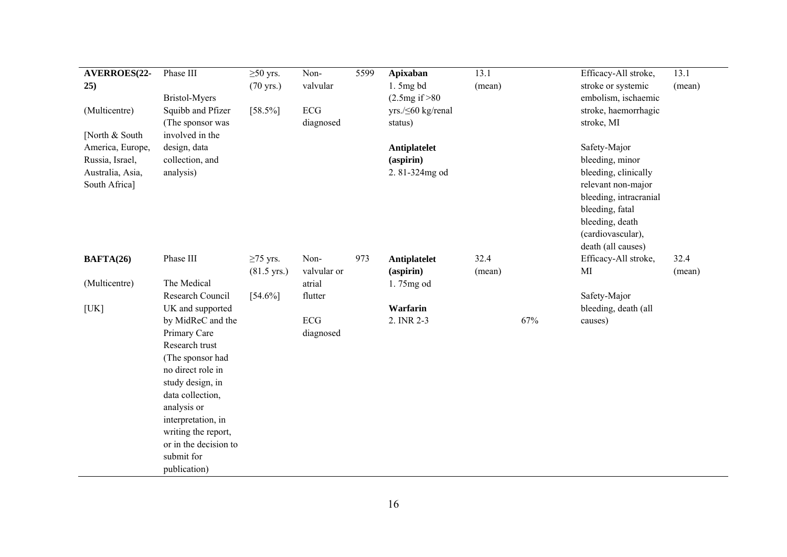| AVERROES(22-<br>25)                | Phase III<br>Bristol-Myers                                                                                                                                                                                                                              | $\geq 50$ yrs.<br>$(70 \text{ yrs.})$   | Non-<br>valvular        | 5599 | <b>Apixaban</b><br>$1.5mg$ bd<br>(2.5mg if > 80) | 13.1<br>(mean) |     | Efficacy-All stroke,<br>stroke or systemic<br>embolism, ischaemic                                                                                     | 13.1<br>(mean) |
|------------------------------------|---------------------------------------------------------------------------------------------------------------------------------------------------------------------------------------------------------------------------------------------------------|-----------------------------------------|-------------------------|------|--------------------------------------------------|----------------|-----|-------------------------------------------------------------------------------------------------------------------------------------------------------|----------------|
| (Multicentre)                      | Squibb and Pfizer<br>(The sponsor was                                                                                                                                                                                                                   | $[58.5\%]$                              | ECG<br>diagnosed        |      | yrs./≤60 kg/renal<br>status)                     |                |     | stroke, haemorrhagic<br>stroke, MI                                                                                                                    |                |
| [North & South<br>America, Europe, | involved in the<br>design, data                                                                                                                                                                                                                         |                                         |                         |      | Antiplatelet                                     |                |     | Safety-Major                                                                                                                                          |                |
| Russia, Israel,                    | collection, and                                                                                                                                                                                                                                         |                                         |                         |      | (aspirin)                                        |                |     | bleeding, minor                                                                                                                                       |                |
| Australia, Asia,<br>South Africa]  | analysis)                                                                                                                                                                                                                                               |                                         |                         |      | 2.81-324mg od                                    |                |     | bleeding, clinically<br>relevant non-major<br>bleeding, intracranial<br>bleeding, fatal<br>bleeding, death<br>(cardiovascular),<br>death (all causes) |                |
| BAFTA(26)                          | Phase III                                                                                                                                                                                                                                               | $\geq$ 75 yrs.<br>$(81.5 \text{ yrs.})$ | Non-<br>valvular or     | 973  | Antiplatelet<br>(aspirin)                        | 32.4<br>(mean) |     | Efficacy-All stroke,<br>MI                                                                                                                            | 32.4<br>(mean) |
| (Multicentre)                      | The Medical                                                                                                                                                                                                                                             |                                         | atrial                  |      | 1.75mg od                                        |                |     |                                                                                                                                                       |                |
|                                    | Research Council                                                                                                                                                                                                                                        | $[54.6\%]$                              | flutter                 |      |                                                  |                |     | Safety-Major                                                                                                                                          |                |
| [UK]                               | UK and supported                                                                                                                                                                                                                                        |                                         |                         |      | Warfarin                                         |                |     | bleeding, death (all                                                                                                                                  |                |
|                                    | by MidReC and the<br>Primary Care<br>Research trust<br>(The sponsor had<br>no direct role in<br>study design, in<br>data collection,<br>analysis or<br>interpretation, in<br>writing the report,<br>or in the decision to<br>submit for<br>publication) |                                         | <b>ECG</b><br>diagnosed |      | 2. INR 2-3                                       |                | 67% | causes)                                                                                                                                               |                |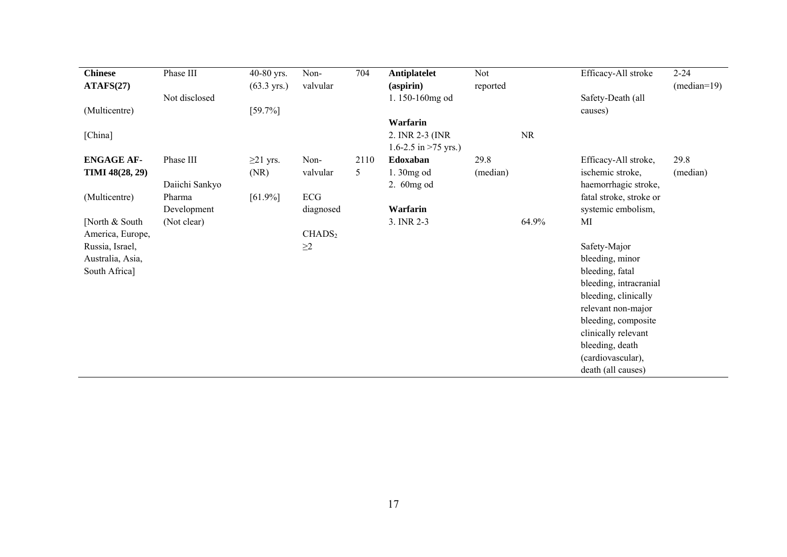| <b>Chinese</b>    | Phase III      | 40-80 yrs.            | Non-               | 704            | <b>Antiplatelet</b>    | Not      |       | Efficacy-All stroke     | $2 - 24$      |
|-------------------|----------------|-----------------------|--------------------|----------------|------------------------|----------|-------|-------------------------|---------------|
| ATAFS(27)         |                | $(63.3 \text{ yrs.})$ | valvular           |                | $(a$ spirin $)$        | reported |       |                         | $(median=19)$ |
|                   | Not disclosed  |                       |                    |                | 1.150-160mg od         |          |       | Safety-Death (all       |               |
| (Multicentre)     |                | $[59.7\%]$            |                    |                |                        |          |       | causes)                 |               |
|                   |                |                       |                    |                | Warfarin               |          |       |                         |               |
| [China]           |                |                       |                    |                | 2. INR 2-3 (INR)       |          | NR    |                         |               |
|                   |                |                       |                    |                | 1.6-2.5 in $>75$ yrs.) |          |       |                         |               |
| <b>ENGAGE AF-</b> | Phase III      | $\geq$ 21 yrs.        | Non-               | 2110           | Edoxaban               | 29.8     |       | Efficacy-All stroke,    | 29.8          |
| TIMI 48(28, 29)   |                | (NR)                  | valvular           | 5 <sup>5</sup> | 1.30mg od              | (median) |       | ischemic stroke,        | (median)      |
|                   | Daiichi Sankyo |                       |                    |                | 2. 60mg od             |          |       | haemorrhagic stroke,    |               |
| (Multicentre)     | Pharma         | $[61.9\%]$            | ECG                |                |                        |          |       | fatal stroke, stroke or |               |
|                   | Development    |                       | diagnosed          |                | Warfarin               |          |       | systemic embolism,      |               |
| [North & South]   | (Not clear)    |                       |                    |                | 3. INR 2-3             |          | 64.9% | MI                      |               |
| America, Europe,  |                |                       | CHADS <sub>2</sub> |                |                        |          |       |                         |               |
| Russia, Israel,   |                |                       | $\geq$ 2           |                |                        |          |       | Safety-Major            |               |
| Australia, Asia,  |                |                       |                    |                |                        |          |       | bleeding, minor         |               |
| South Africa]     |                |                       |                    |                |                        |          |       | bleeding, fatal         |               |
|                   |                |                       |                    |                |                        |          |       | bleeding, intracranial  |               |
|                   |                |                       |                    |                |                        |          |       | bleeding, clinically    |               |
|                   |                |                       |                    |                |                        |          |       | relevant non-major      |               |
|                   |                |                       |                    |                |                        |          |       | bleeding, composite     |               |
|                   |                |                       |                    |                |                        |          |       | clinically relevant     |               |
|                   |                |                       |                    |                |                        |          |       | bleeding, death         |               |
|                   |                |                       |                    |                |                        |          |       | (cardiovascular),       |               |
|                   |                |                       |                    |                |                        |          |       | death (all causes)      |               |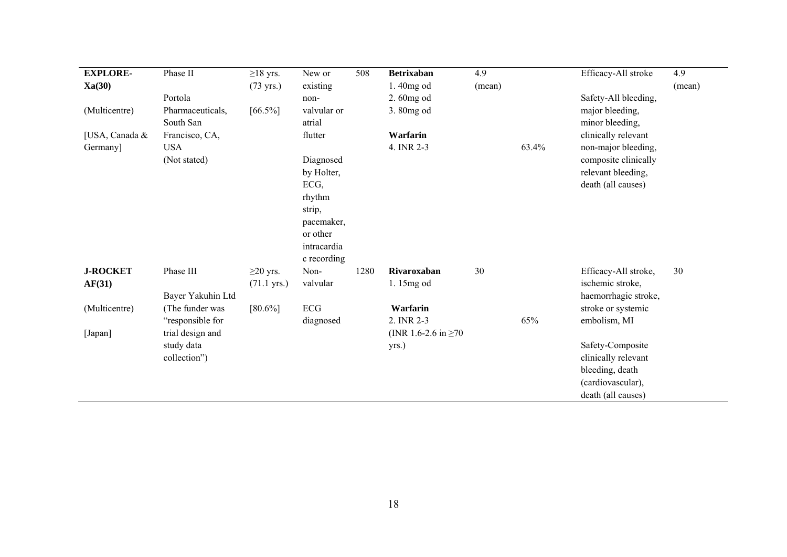| <b>EXPLORE-</b> | Phase II                      | $\geq$ 18 yrs.        | New or                | 508  | <b>Betrixaban</b>         | 4.9    |       | Efficacy-All stroke                | 4.9    |
|-----------------|-------------------------------|-----------------------|-----------------------|------|---------------------------|--------|-------|------------------------------------|--------|
| Xa(30)          |                               | $(73 \text{ yrs.})$   | existing              |      | 1.40mg od                 | (mean) |       |                                    | (mean) |
|                 | Portola                       |                       | non-                  |      | 2.60mg od                 |        |       | Safety-All bleeding,               |        |
| (Multicentre)   | Pharmaceuticals,<br>South San | $[66.5\%]$            | valvular or<br>atrial |      | 3.80mg od                 |        |       | major bleeding,<br>minor bleeding, |        |
| [USA, Canada &  | Francisco, CA,                |                       | flutter               |      | Warfarin                  |        |       | clinically relevant                |        |
| Germany]        | <b>USA</b>                    |                       |                       |      | 4. INR 2-3                |        | 63.4% | non-major bleeding,                |        |
|                 | (Not stated)                  |                       | Diagnosed             |      |                           |        |       | composite clinically               |        |
|                 |                               |                       | by Holter,            |      |                           |        |       | relevant bleeding,                 |        |
|                 |                               |                       | ECG,                  |      |                           |        |       | death (all causes)                 |        |
|                 |                               |                       | rhythm                |      |                           |        |       |                                    |        |
|                 |                               |                       | strip,                |      |                           |        |       |                                    |        |
|                 |                               |                       | pacemaker,            |      |                           |        |       |                                    |        |
|                 |                               |                       | or other              |      |                           |        |       |                                    |        |
|                 |                               |                       | intracardia           |      |                           |        |       |                                    |        |
|                 |                               |                       | c recording           |      |                           |        |       |                                    |        |
| <b>J-ROCKET</b> | Phase III                     | $\geq$ 20 yrs.        | Non-                  | 1280 | Rivaroxaban               | 30     |       | Efficacy-All stroke,               | 30     |
| AF(31)          |                               | $(71.1 \text{ yrs.})$ | valvular              |      | 1.15mg od                 |        |       | ischemic stroke,                   |        |
|                 | Bayer Yakuhin Ltd             |                       |                       |      |                           |        |       | haemorrhagic stroke,               |        |
| (Multicentre)   | (The funder was               | $[80.6\%]$            | ECG                   |      | Warfarin                  |        |       | stroke or systemic                 |        |
|                 | "responsible for              |                       | diagnosed             |      | 2. INR 2-3                |        | 65%   | embolism, MI                       |        |
| [Japan]         | trial design and              |                       |                       |      | (INR 1.6-2.6 in $\geq$ 70 |        |       |                                    |        |
|                 | study data                    |                       |                       |      | yrs.)                     |        |       | Safety-Composite                   |        |
|                 | collection")                  |                       |                       |      |                           |        |       | clinically relevant                |        |
|                 |                               |                       |                       |      |                           |        |       | bleeding, death                    |        |
|                 |                               |                       |                       |      |                           |        |       | (cardiovascular),                  |        |
|                 |                               |                       |                       |      |                           |        |       | death (all causes)                 |        |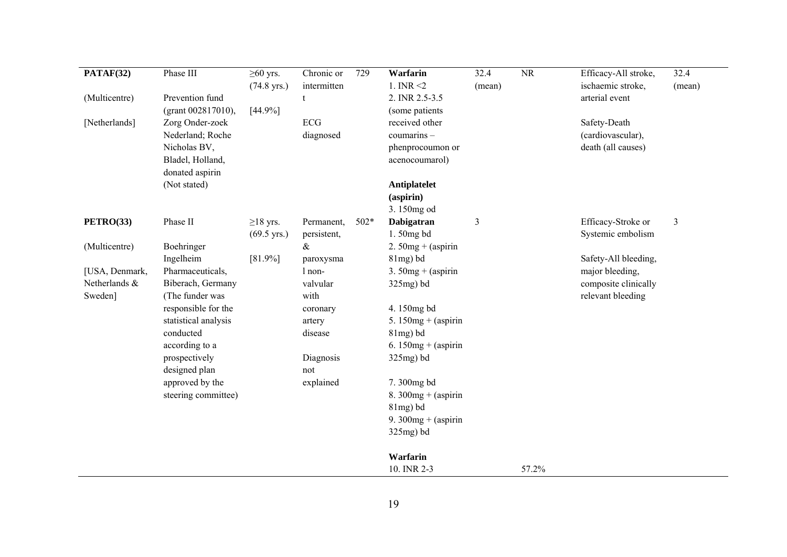| PATAF(32)                | Phase III                             | $\geq 60$ yrs.<br>$(74.8 \text{ yrs.})$ | Chronic or<br>intermitten | 729  | Warfarin<br>1. INR $\leq$ 2        | 32.4<br>(mean) | $\overline{\text{NR}}$ | Efficacy-All stroke,<br>ischaemic stroke, | 32.4<br>(mean) |
|--------------------------|---------------------------------------|-----------------------------------------|---------------------------|------|------------------------------------|----------------|------------------------|-------------------------------------------|----------------|
| (Multicentre)            | Prevention fund<br>(grant 002817010), | [44.9%]                                 | t                         |      | 2. INR 2.5-3.5<br>(some patients)  |                |                        | arterial event                            |                |
| [Netherlands]            | Zorg Onder-zoek<br>Nederland; Roche   |                                         | ECG<br>diagnosed          |      | received other<br>coumarins-       |                |                        | Safety-Death<br>(cardiovascular),         |                |
|                          | Nicholas BV,<br>Bladel, Holland,      |                                         |                           |      | phenprocoumon or<br>acenocoumarol) |                |                        | death (all causes)                        |                |
|                          | donated aspirin<br>(Not stated)       |                                         |                           |      | Antiplatelet<br>(aspirin)          |                |                        |                                           |                |
|                          |                                       |                                         |                           |      | 3.150mg od                         |                |                        |                                           |                |
| PETRO(33)                | Phase II                              | $\geq$ 18 yrs.<br>$(69.5 \text{ yrs.})$ | Permanent,<br>persistent, | 502* | Dabigatran<br>1.50mg bd            | 3              |                        | Efficacy-Stroke or<br>Systemic embolism   | $\mathfrak{Z}$ |
| (Multicentre)            | Boehringer                            |                                         | $\&$                      |      | 2. $50mg + (aspirin)$              |                |                        |                                           |                |
|                          | Ingelheim                             | $[81.9\%]$                              | paroxysma                 |      | $81mg$ ) bd                        |                |                        | Safety-All bleeding,                      |                |
| [USA, Denmark,           | Pharmaceuticals,                      |                                         | l non-                    |      | 3. $50mg + (aspirin)$              |                |                        | major bleeding,                           |                |
| Netherlands &<br>Sweden] | Biberach, Germany<br>(The funder was  |                                         | valvular<br>with          |      | $325mg$ ) bd                       |                |                        | composite clinically<br>relevant bleeding |                |
|                          | responsible for the                   |                                         | coronary                  |      | 4.150mg bd                         |                |                        |                                           |                |
|                          | statistical analysis                  |                                         | artery                    |      | 5. $150mg + (aspirin)$             |                |                        |                                           |                |
|                          | conducted                             |                                         | disease                   |      | $81mg$ ) bd                        |                |                        |                                           |                |
|                          | according to a                        |                                         |                           |      | 6. $150mg + (aspirin)$             |                |                        |                                           |                |
|                          | prospectively<br>designed plan        |                                         | Diagnosis<br>not          |      | $325mg$ ) bd                       |                |                        |                                           |                |
|                          | approved by the                       |                                         | explained                 |      | 7.300mg bd                         |                |                        |                                           |                |
|                          | steering committee)                   |                                         |                           |      | 8. 300 $mg + (aspirin)$            |                |                        |                                           |                |
|                          |                                       |                                         |                           |      | $81mg$ ) bd                        |                |                        |                                           |                |
|                          |                                       |                                         |                           |      | 9. $300mg + (aspirin)$             |                |                        |                                           |                |
|                          |                                       |                                         |                           |      | $325mg$ ) bd                       |                |                        |                                           |                |
|                          |                                       |                                         |                           |      | Warfarin                           |                |                        |                                           |                |
|                          |                                       |                                         |                           |      | 10. INR 2-3                        |                | 57.2%                  |                                           |                |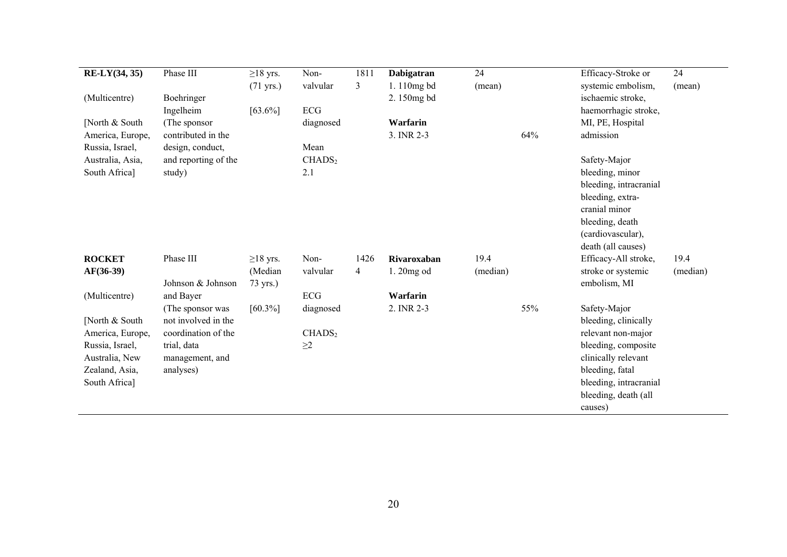| RE-LY(34, 35)    | Phase III            | $\geq$ 18 yrs.      | Non-               | 1811           | Dabigatran  | 24       |     | Efficacy-Stroke or     | 24       |
|------------------|----------------------|---------------------|--------------------|----------------|-------------|----------|-----|------------------------|----------|
|                  |                      | $(71 \text{ yrs.})$ | valvular           | 3              | 1.110mg bd  | (mean)   |     | systemic embolism,     | (mean)   |
| (Multicentre)    | Boehringer           |                     |                    |                | 2.150mg bd  |          |     | ischaemic stroke,      |          |
|                  | Ingelheim            | $[63.6\%]$          | ECG                |                |             |          |     | haemorrhagic stroke,   |          |
| [North & South]  | (The sponsor         |                     | diagnosed          |                | Warfarin    |          |     | MI, PE, Hospital       |          |
| America, Europe, | contributed in the   |                     |                    |                | 3. INR 2-3  |          | 64% | admission              |          |
| Russia, Israel,  | design, conduct,     |                     | Mean               |                |             |          |     |                        |          |
| Australia, Asia, | and reporting of the |                     | CHADS <sub>2</sub> |                |             |          |     | Safety-Major           |          |
| South Africa]    | study)               |                     | 2.1                |                |             |          |     | bleeding, minor        |          |
|                  |                      |                     |                    |                |             |          |     | bleeding, intracranial |          |
|                  |                      |                     |                    |                |             |          |     | bleeding, extra-       |          |
|                  |                      |                     |                    |                |             |          |     | cranial minor          |          |
|                  |                      |                     |                    |                |             |          |     | bleeding, death        |          |
|                  |                      |                     |                    |                |             |          |     | (cardiovascular),      |          |
|                  |                      |                     |                    |                |             |          |     | death (all causes)     |          |
| <b>ROCKET</b>    | Phase III            | $\geq$ 18 yrs.      | Non-               | 1426           | Rivaroxaban | 19.4     |     | Efficacy-All stroke,   | 19.4     |
| $AF(36-39)$      |                      | (Median             | valvular           | $\overline{4}$ | 1.20mg od   | (median) |     | stroke or systemic     | (median) |
|                  | Johnson & Johnson    | 73 yrs.)            |                    |                |             |          |     | embolism, MI           |          |
| (Multicentre)    | and Bayer            |                     | ECG                |                | Warfarin    |          |     |                        |          |
|                  | (The sponsor was     | $[60.3\%]$          | diagnosed          |                | 2. INR 2-3  |          | 55% | Safety-Major           |          |
| [North & South]  | not involved in the  |                     |                    |                |             |          |     | bleeding, clinically   |          |
| America, Europe, | coordination of the  |                     | CHADS <sub>2</sub> |                |             |          |     | relevant non-major     |          |
| Russia, Israel,  | trial, data          |                     | $\geq$ 2           |                |             |          |     | bleeding, composite    |          |
| Australia, New   | management, and      |                     |                    |                |             |          |     | clinically relevant    |          |
| Zealand, Asia,   | analyses)            |                     |                    |                |             |          |     | bleeding, fatal        |          |
| South Africa]    |                      |                     |                    |                |             |          |     | bleeding, intracranial |          |
|                  |                      |                     |                    |                |             |          |     | bleeding, death (all   |          |
|                  |                      |                     |                    |                |             |          |     | causes)                |          |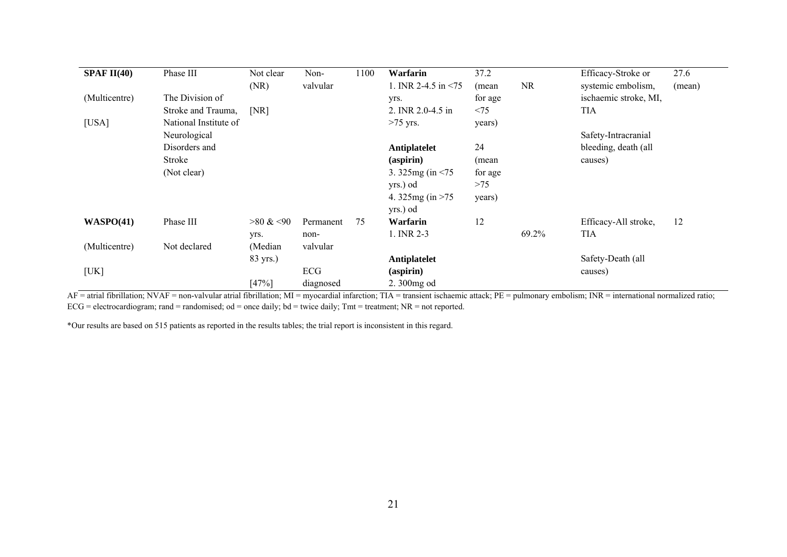| SPAF II(40)   | Phase III             | Not clear   | Non-      | 1100 | Warfarin                  | 37.2    |           | Efficacy-Stroke or    | 27.6   |
|---------------|-----------------------|-------------|-----------|------|---------------------------|---------|-----------|-----------------------|--------|
|               |                       | (NR)        | valvular  |      | 1. INR 2-4.5 in $\leq$ 75 | (mean   | <b>NR</b> | systemic embolism,    | (mean) |
| (Multicentre) | The Division of       |             |           |      | yrs.                      | for age |           | ischaemic stroke, MI, |        |
|               | Stroke and Trauma,    | [NR]        |           |      | 2. INR 2.0-4.5 in         | < 75    |           | <b>TIA</b>            |        |
| [USA]         | National Institute of |             |           |      | $>75$ yrs.                | years)  |           |                       |        |
|               | Neurological          |             |           |      |                           |         |           | Safety-Intracranial   |        |
|               | Disorders and         |             |           |      | Antiplatelet              | 24      |           | bleeding, death (all  |        |
|               | Stroke                |             |           |      | (aspirin)                 | (mean   |           | causes)               |        |
|               | (Not clear)           |             |           |      | 3.325mg (in $\leq$ 75     | for age |           |                       |        |
|               |                       |             |           |      | yrs.) od                  | >75     |           |                       |        |
|               |                       |             |           |      | 4. 325 mg (in $>75$       | years)  |           |                       |        |
|               |                       |             |           |      | yrs.) od                  |         |           |                       |        |
| WASPO(41)     | Phase III             | $>80 \< 90$ | Permanent | 75   | Warfarin                  | 12      |           | Efficacy-All stroke,  | 12     |
|               |                       | yrs.        | non-      |      | 1. INR 2-3                |         | 69.2%     | <b>TIA</b>            |        |
| (Multicentre) | Not declared          | (Median     | valvular  |      |                           |         |           |                       |        |
|               |                       | 83 yrs.)    |           |      | Antiplatelet              |         |           | Safety-Death (all     |        |
| [UK]          |                       |             | ECG       |      | $(a$ spirin $)$           |         |           | causes)               |        |
|               |                       | [47%]       | diagnosed |      | 2.300mg od                |         |           |                       |        |

AF = atrial fibrillation; NVAF = non-valvular atrial fibrillation; MI = myocardial infarction; TIA = transient ischaemic attack; PE = pulmonary embolism; INR = international normalized ratio;  $ECG = electrocardiogram$ ; rand = randomised; od = once daily; bd = twice daily; Tmt = treatment; NR = not reported.

\*Our results are based on 515 patients as reported in the results tables; the trial report is inconsistent in this regard.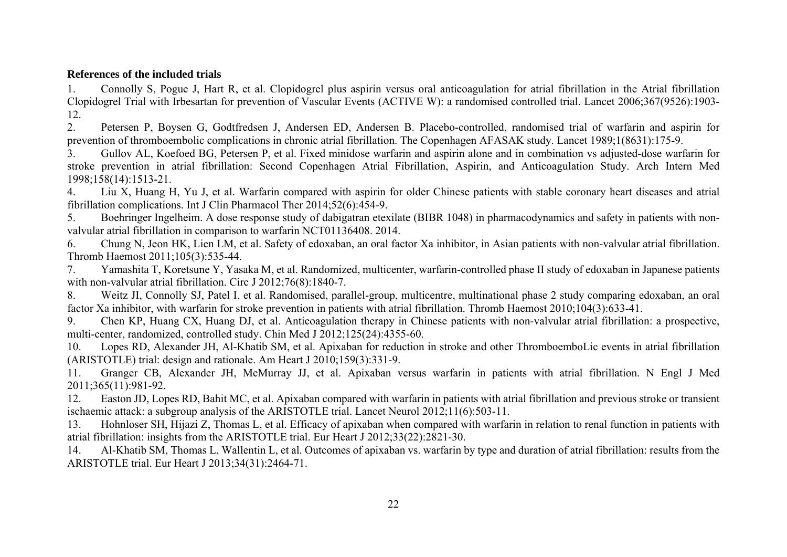## **References of the included trials**

1. Connolly S, Pogue J, Hart R, et al. Clopidogrel plus aspirin versus oral anticoagulation for atrial fibrillation in the Atrial fibrillation Clopidogrel Trial with Irbesartan for prevention of Vascular Events (ACTIVE W): a randomised controlled trial. Lancet 2006;367(9526):1903- 12.

2. Petersen P, Boysen G, Godtfredsen J, Andersen ED, Andersen B. Placebo-controlled, randomised trial of warfarin and aspirin for prevention of thromboembolic complications in chronic atrial fibrillation. The Copenhagen AFASAK study. Lancet 1989;1(8631):175-9.

3. Gullov AL, Koefoed BG, Petersen P, et al. Fixed minidose warfarin and aspirin alone and in combination vs adjusted-dose warfarin for stroke prevention in atrial fibrillation: Second Copenhagen Atrial Fibrillation, Aspirin, and Anticoagulation Study. Arch Intern Med 1998;158(14):1513-21.

4. Liu X, Huang H, Yu J, et al. Warfarin compared with aspirin for older Chinese patients with stable coronary heart diseases and atrial fibrillation complications. Int J Clin Pharmacol Ther 2014;52(6):454-9.

5. Boehringer Ingelheim. A dose response study of dabigatran etexilate (BIBR 1048) in pharmacodynamics and safety in patients with nonvalvular atrial fibrillation in comparison to warfarin NCT01136408. 2014.

6. Chung N, Jeon HK, Lien LM, et al. Safety of edoxaban, an oral factor Xa inhibitor, in Asian patients with non-valvular atrial fibrillation. Thromb Haemost 2011;105(3):535-44.

7. Yamashita T, Koretsune Y, Yasaka M, et al. Randomized, multicenter, warfarin-controlled phase II study of edoxaban in Japanese patients with non-valvular atrial fibrillation. Circ J 2012;76(8):1840-7.

8. Weitz JI, Connolly SJ, Patel I, et al. Randomised, parallel-group, multicentre, multinational phase 2 study comparing edoxaban, an oral factor Xa inhibitor, with warfarin for stroke prevention in patients with atrial fibrillation. Thromb Haemost 2010;104(3):633-41.

9. Chen KP, Huang CX, Huang DJ, et al. Anticoagulation therapy in Chinese patients with non-valvular atrial fibrillation: a prospective, multi-center, randomized, controlled study. Chin Med J 2012;125(24):4355-60.

10. Lopes RD, Alexander JH, Al-Khatib SM, et al. Apixaban for reduction in stroke and other ThromboemboLic events in atrial fibrillation (ARISTOTLE) trial: design and rationale. Am Heart J 2010;159(3):331-9.

11. Granger CB, Alexander JH, McMurray JJ, et al. Apixaban versus warfarin in patients with atrial fibrillation. N Engl J Med 2011;365(11):981-92.

12. Easton JD, Lopes RD, Bahit MC, et al. Apixaban compared with warfarin in patients with atrial fibrillation and previous stroke or transient ischaemic attack: a subgroup analysis of the ARISTOTLE trial. Lancet Neurol 2012;11(6):503-11.

13. Hohnloser SH, Hijazi Z, Thomas L, et al. Efficacy of apixaban when compared with warfarin in relation to renal function in patients with atrial fibrillation: insights from the ARISTOTLE trial. Eur Heart J 2012;33(22):2821-30.

14. Al-Khatib SM, Thomas L, Wallentin L, et al. Outcomes of apixaban vs. warfarin by type and duration of atrial fibrillation: results from the ARISTOTLE trial. Eur Heart J 2013;34(31):2464-71.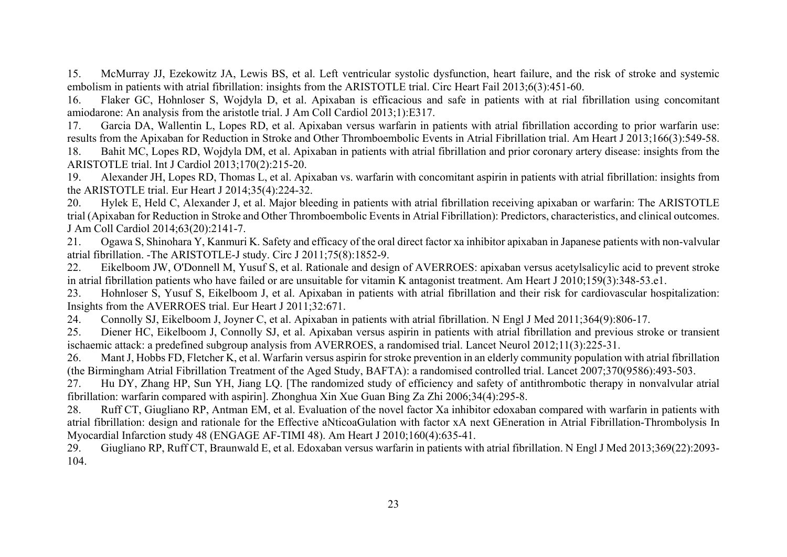15. McMurray JJ, Ezekowitz JA, Lewis BS, et al. Left ventricular systolic dysfunction, heart failure, and the risk of stroke and systemic embolism in patients with atrial fibrillation: insights from the ARISTOTLE trial. Circ Heart Fail 2013;6(3):451-60.

16. Flaker GC, Hohnloser S, Wojdyla D, et al. Apixaban is efficacious and safe in patients with at rial fibrillation using concomitant amiodarone: An analysis from the aristotle trial. J Am Coll Cardiol 2013;1):E317.

17. Garcia DA, Wallentin L, Lopes RD, et al. Apixaban versus warfarin in patients with atrial fibrillation according to prior warfarin use: results from the Apixaban for Reduction in Stroke and Other Thromboembolic Events in Atrial Fibrillation trial. Am Heart J 2013;166(3):549-58.

18. Bahit MC, Lopes RD, Wojdyla DM, et al. Apixaban in patients with atrial fibrillation and prior coronary artery disease: insights from the ARISTOTLE trial. Int J Cardiol 2013;170(2):215-20.

19. Alexander JH, Lopes RD, Thomas L, et al. Apixaban vs. warfarin with concomitant aspirin in patients with atrial fibrillation: insights from the ARISTOTLE trial. Eur Heart J 2014;35(4):224-32.

20. Hylek E, Held C, Alexander J, et al. Major bleeding in patients with atrial fibrillation receiving apixaban or warfarin: The ARISTOTLE trial (Apixaban for Reduction in Stroke and Other Thromboembolic Events in Atrial Fibrillation): Predictors, characteristics, and clinical outcomes. J Am Coll Cardiol 2014;63(20):2141-7.

21. Ogawa S, Shinohara Y, Kanmuri K. Safety and efficacy of the oral direct factor xa inhibitor apixaban in Japanese patients with non-valvular atrial fibrillation. -The ARISTOTLE-J study. Circ J 2011;75(8):1852-9.

22. Eikelboom JW, O'Donnell M, Yusuf S, et al. Rationale and design of AVERROES: apixaban versus acetylsalicylic acid to prevent stroke in atrial fibrillation patients who have failed or are unsuitable for vitamin K antagonist treatment. Am Heart J 2010;159(3):348-53.e1.

23. Hohnloser S, Yusuf S, Eikelboom J, et al. Apixaban in patients with atrial fibrillation and their risk for cardiovascular hospitalization: Insights from the AVERROES trial. Eur Heart J 2011;32:671.

24. Connolly SJ, Eikelboom J, Joyner C, et al. Apixaban in patients with atrial fibrillation. N Engl J Med 2011;364(9):806-17.

25. Diener HC, Eikelboom J, Connolly SJ, et al. Apixaban versus aspirin in patients with atrial fibrillation and previous stroke or transient ischaemic attack: a predefined subgroup analysis from AVERROES, a randomised trial. Lancet Neurol 2012;11(3):225-31.

26. Mant J, Hobbs FD, Fletcher K, et al. Warfarin versus aspirin for stroke prevention in an elderly community population with atrial fibrillation (the Birmingham Atrial Fibrillation Treatment of the Aged Study, BAFTA): a randomised controlled trial. Lancet 2007;370(9586):493-503.

27. Hu DY, Zhang HP, Sun YH, Jiang LQ. [The randomized study of efficiency and safety of antithrombotic therapy in nonvalvular atrial fibrillation: warfarin compared with aspirin]. Zhonghua Xin Xue Guan Bing Za Zhi 2006;34(4):295-8.

28. Ruff CT, Giugliano RP, Antman EM, et al. Evaluation of the novel factor Xa inhibitor edoxaban compared with warfarin in patients with atrial fibrillation: design and rationale for the Effective aNticoaGulation with factor xA next GEneration in Atrial Fibrillation-Thrombolysis In Myocardial Infarction study 48 (ENGAGE AF-TIMI 48). Am Heart J 2010;160(4):635-41.

29. Giugliano RP, Ruff CT, Braunwald E, et al. Edoxaban versus warfarin in patients with atrial fibrillation. N Engl J Med 2013;369(22):2093- 104.